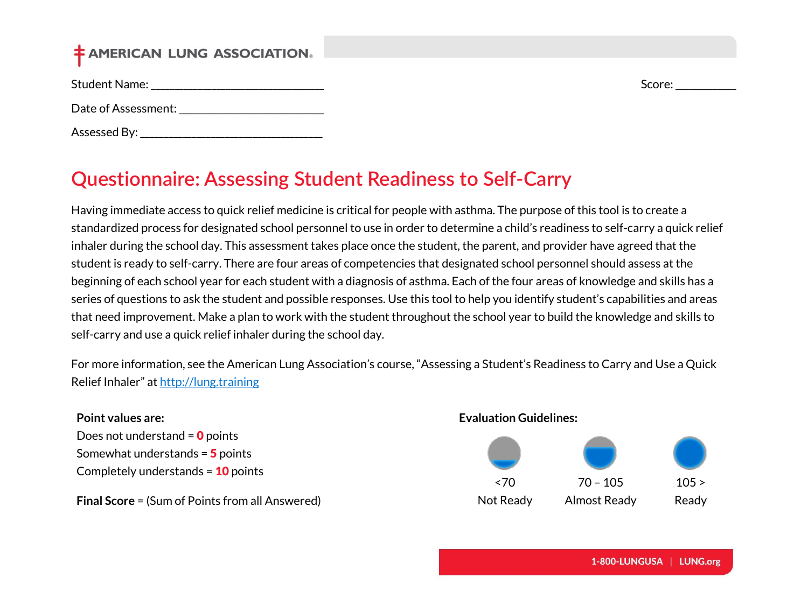# **‡ AMERICAN LUNG ASSOCIATION.**

Student Name: \_\_\_\_\_\_\_\_\_\_\_\_\_\_\_\_\_\_\_\_\_\_\_\_\_\_\_\_\_\_\_\_\_\_\_\_\_ Score: \_\_\_\_\_\_\_\_\_\_\_\_\_

Date of Assessment:  $\Box$ 

Assessed By: \_\_\_\_\_\_\_\_\_\_\_\_\_\_\_\_\_\_\_\_\_\_\_\_\_\_\_\_\_\_\_\_\_\_\_\_\_\_\_

# **Questionnaire: Assessing Student Readiness to Self-Carry**

Having immediate access to quick relief medicine is critical for people with asthma. The purpose of this tool is to create a standardized process for designated school personnel to use in order to determine a child's readiness to self-carry a quick relief inhaler during the school day. This assessment takes place once the student, the parent, and provider have agreed that the student is ready to self-carry. There are four areas of competencies that designated school personnel should assess at the beginning of each school year for each student with a diagnosis of asthma. Each of the four areas of knowledge and skills has a series of questions to ask the student and possible responses. Use this tool to help you identify student's capabilities and areas that need improvement. Make a plan to work with the student throughout the school year to build the knowledge and skills to self-carry and use a quick relief inhaler during the school day.

For more information, see the American Lung Association's course, "Assessing a Student's Readiness to Carry and Use a Quick Relief Inhaler" at [http://lung.training](http://lung.training/)

#### **Point values are:**

Does not understand  $= 0$  points Somewhat understands = 5 points Completely understands =  $10$  points

**Final Score** = (Sum of Points from all Answered)

#### **Evaluation Guidelines:**

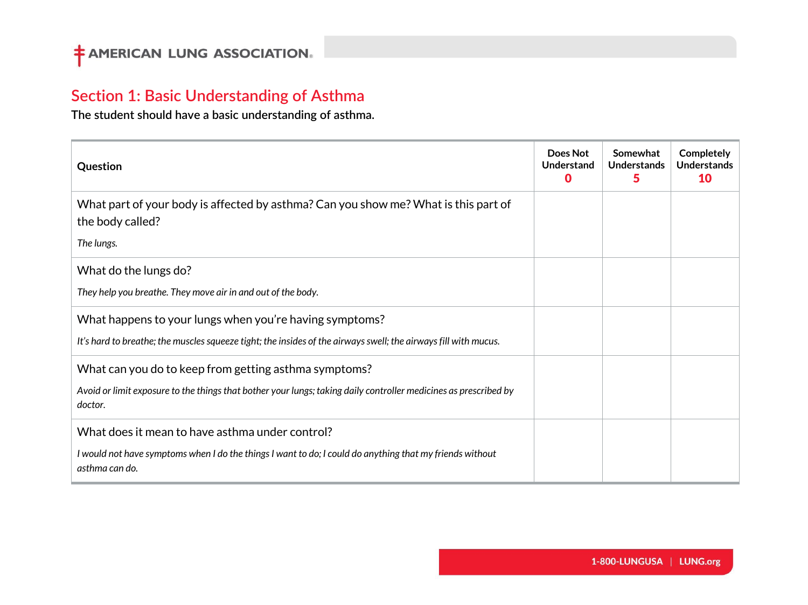## **Section 1: Basic Understanding of Asthma**

**The student should have a basic understanding of asthma.**

| Question                                                                                                                                                                             | Does Not<br><b>Understand</b><br>O | Somewhat<br>Understands<br>5 | Completely<br><b>Understands</b><br>10 |
|--------------------------------------------------------------------------------------------------------------------------------------------------------------------------------------|------------------------------------|------------------------------|----------------------------------------|
| What part of your body is affected by asthma? Can you show me? What is this part of<br>the body called?<br>The lungs.                                                                |                                    |                              |                                        |
| What do the lungs do?<br>They help you breathe. They move air in and out of the body.                                                                                                |                                    |                              |                                        |
| What happens to your lungs when you're having symptoms?<br>It's hard to breathe; the muscles squeeze tight; the insides of the airways swell; the airways fill with mucus.           |                                    |                              |                                        |
| What can you do to keep from getting asthma symptoms?<br>Avoid or limit exposure to the things that bother your lungs; taking daily controller medicines as prescribed by<br>doctor. |                                    |                              |                                        |
| What does it mean to have asthma under control?<br>I would not have symptoms when I do the things I want to do; I could do anything that my friends without<br>asthma can do.        |                                    |                              |                                        |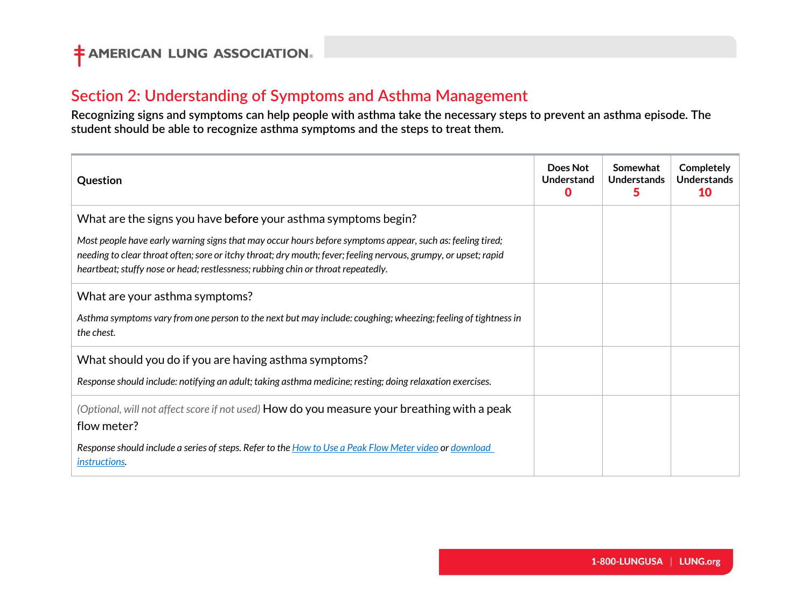## **Section 2: Understanding of Symptoms and Asthma Management**

**Recognizing signs and symptoms can help people with asthma take the necessary steps to prevent an asthma episode. The student should be able to recognize asthma symptoms and the steps to treat them.**

| Question                                                                                                                                                                                                                                                                                                                                                                           | Does Not<br>Understand | Somewhat<br>Understands | Completely<br><b>Understands</b><br>10 |
|------------------------------------------------------------------------------------------------------------------------------------------------------------------------------------------------------------------------------------------------------------------------------------------------------------------------------------------------------------------------------------|------------------------|-------------------------|----------------------------------------|
| What are the signs you have before your asthma symptoms begin?<br>Most people have early warning signs that may occur hours before symptoms appear, such as: feeling tired;<br>needing to clear throat often; sore or itchy throat; dry mouth; fever; feeling nervous, grumpy, or upset; rapid<br>heartbeat; stuffy nose or head; restlessness; rubbing chin or throat repeatedly. |                        |                         |                                        |
| What are your asthma symptoms?<br>Asthma symptoms vary from one person to the next but may include: coughing; wheezing; feeling of tightness in<br>the chest.                                                                                                                                                                                                                      |                        |                         |                                        |
| What should you do if you are having asthma symptoms?<br>Response should include: notifying an adult; taking asthma medicine; resting; doing relaxation exercises.                                                                                                                                                                                                                 |                        |                         |                                        |
| (Optional, will not affect score if not used) How do you measure your breathing with a peak<br>flow meter?<br>Response should include a series of steps. Refer to the How to Use a Peak Flow Meter video or download<br>instructions.                                                                                                                                              |                        |                         |                                        |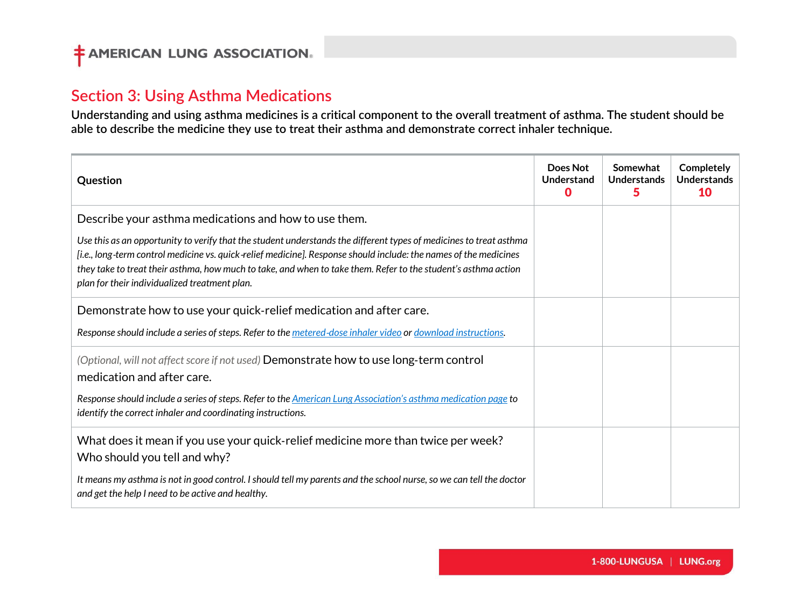### **Section 3: Using Asthma Medications**

**Understanding and using asthma medicines is a critical component to the overall treatment of asthma. The student should be able to describe the medicine they use to treat their asthma and demonstrate correct inhaler technique.**

| Question                                                                                                                                                                                                                                                                                                                                                                                                   | Does Not<br>Understand<br>n | Somewhat<br>Understands<br>5 | Completely<br><b>Understands</b><br>1Λ |
|------------------------------------------------------------------------------------------------------------------------------------------------------------------------------------------------------------------------------------------------------------------------------------------------------------------------------------------------------------------------------------------------------------|-----------------------------|------------------------------|----------------------------------------|
| Describe your asthma medications and how to use them.                                                                                                                                                                                                                                                                                                                                                      |                             |                              |                                        |
| Use this as an opportunity to verify that the student understands the different types of medicines to treat asthma<br>[i.e., long-term control medicine vs. quick-relief medicine]. Response should include: the names of the medicines<br>they take to treat their asthma, how much to take, and when to take them. Refer to the student's asthma action<br>plan for their individualized treatment plan. |                             |                              |                                        |
| Demonstrate how to use your quick-relief medication and after care.                                                                                                                                                                                                                                                                                                                                        |                             |                              |                                        |
| Response should include a series of steps. Refer to the metered-dose inhaler video or download instructions.                                                                                                                                                                                                                                                                                               |                             |                              |                                        |
| (Optional, will not affect score if not used) Demonstrate how to use long-term control<br>medication and after care.                                                                                                                                                                                                                                                                                       |                             |                              |                                        |
| Response should include a series of steps. Refer to the American Lung Association's asthma medication page to<br>identify the correct inhaler and coordinating instructions.                                                                                                                                                                                                                               |                             |                              |                                        |
| What does it mean if you use your quick-relief medicine more than twice per week?<br>Who should you tell and why?                                                                                                                                                                                                                                                                                          |                             |                              |                                        |
| It means my asthma is not in good control. I should tell my parents and the school nurse, so we can tell the doctor<br>and get the help I need to be active and healthy.                                                                                                                                                                                                                                   |                             |                              |                                        |